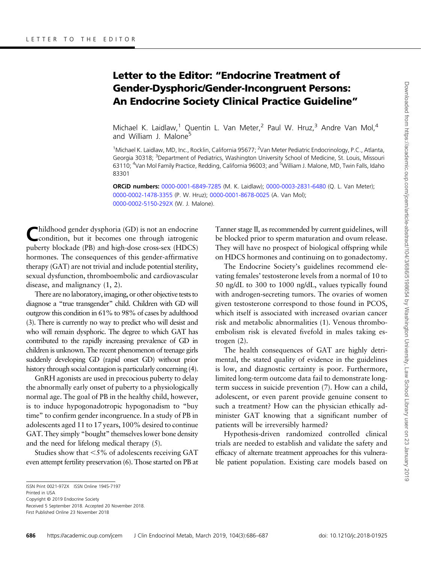## Letter to the Editor: "Endocrine Treatment of Gender-Dysphoric/Gender-Incongruent Persons: An Endocrine Society Clinical Practice Guideline"

[Michael K. Laidlaw,](http://orcid.org/0000-0001-6849-7285)<sup>1</sup> [Quentin L. Van Meter](http://orcid.org/0000-0003-2831-6480),<sup>2</sup> [Paul W. Hruz](http://orcid.org/0000-0002-1478-3355),<sup>3</sup> [Andre Van Mol,](http://orcid.org/0000-0001-8678-0025)<sup>4</sup> and [William J. Malone](http://orcid.org/0000-0002-5150-292X)<sup>5</sup>

<sup>1</sup>Michael K. Laidlaw, MD, Inc., Rocklin, California 95677; <sup>2</sup>Van Meter Pediatric Endocrinology, P.C., Atlanta, Georgia 30318; <sup>3</sup>Department of Pediatrics, Washington University School of Medicine, St. Louis, Missouri 63110; <sup>4</sup>Van Mol Family Practice, Redding, California 96003; and <sup>5</sup>William J. Malone, MD, Twin Falls, Idaho 83301

ORCiD numbers: [0000-0001-6849-7285](http://orcid.org/0000-0001-6849-7285) (M. K. Laidlaw); [0000-0003-2831-6480](http://orcid.org/0000-0003-2831-6480) (Q. L. Van Meter); [0000-0002-1478-3355](http://orcid.org/0000-0002-1478-3355) (P. W. Hruz); [0000-0001-8678-0025](http://orcid.org/0000-0001-8678-0025) (A. Van Mol); [0000-0002-5150-292X](http://orcid.org/0000-0002-5150-292X) (W. J. Malone).

hildhood gender dysphoria (GD) is not an endocrine condition, but it becomes one through iatrogenic puberty blockade (PB) and high-dose cross-sex (HDCS) hormones. The consequences of this gender-affirmative therapy (GAT) are not trivial and include potential sterility, sexual dysfunction, thromboembolic and cardiovascular disease, and malignancy (1, 2).

There are no laboratory, imaging, or other objective tests to diagnose a "true transgender" child. Children with GD will outgrow this condition in 61% to 98% of cases by adulthood [\(3](#page-1-0)). There is currently no way to predict who will desist and who will remain dysphoric. The degree to which GAT has contributed to the rapidly increasing prevalence of GD in children is unknown. The recent phenomenon of teenage girls suddenly developing GD (rapid onset GD) without prior history through social contagion is particularly concerning [\(4\)](#page-1-0).

GnRH agonists are used in precocious puberty to delay the abnormally early onset of puberty to a physiologically normal age. The goal of PB in the healthy child, however, is to induce hypogonadotropic hypogonadism to "buy time" to confirm gender incongruence. In a study of PB in adolescents aged 11 to 17 years, 100% desired to continue GAT. They simply "bought" themselves lower bone density and the need for lifelong medical therapy [\(5](#page-1-0)).

Studies show that  $\leq 5\%$  of adolescents receiving GAT even attempt fertility preservation [\(6](#page-1-0)). Those started on PB at Tanner stage II, as recommended by current guidelines, will be blocked prior to sperm maturation and ovum release. They will have no prospect of biological offspring while on HDCS hormones and continuing on to gonadectomy.

The Endocrine Society's guidelines recommend elevating females' testosterone levels from a normal of 10 to 50 ng/dL to 300 to 1000 ng/dL, values typically found with androgen-secreting tumors. The ovaries of women given testosterone correspond to those found in PCOS, which itself is associated with increased ovarian cancer risk and metabolic abnormalities ([1](#page-1-0)). Venous thromboembolism risk is elevated fivefold in males taking estrogen [\(2\)](#page-1-0).

The health consequences of GAT are highly detrimental, the stated quality of evidence in the guidelines is low, and diagnostic certainty is poor. Furthermore, limited long-term outcome data fail to demonstrate longterm success in suicide prevention [\(7\)](#page-1-0). How can a child, adolescent, or even parent provide genuine consent to such a treatment? How can the physician ethically administer GAT knowing that a significant number of patients will be irreversibly harmed?

Hypothesis-driven randomized controlled clinical trials are needed to establish and validate the safety and efficacy of alternate treatment approaches for this vulnerable patient population. Existing care models based on

Received 5 September 2018. Accepted 20 November 2018. First Published Online 23 November 2018

Downloaded from https://academic.oup.com/jcem/article-abstract/104/3/686/5198654 by Washington University, Law School Library user on 23 January 2019 Downloaded from https://academic.oup.com/jcem/article-abstract/104/3/686/5198654 by Washington University, Law School Library user on 23 January 2019

ISSN Print 0021-972X ISSN Online 1945-7197

Printed in USA

Copyright © 2019 Endocrine Society